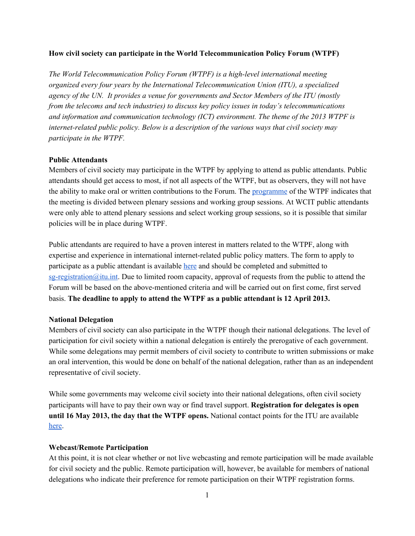### **How civil society can participate in the World Telecommunication Policy Forum (WTPF)**

*The World Telecommunication Policy Forum (WTPF) is a high-level international meeting organized every four years by the International Telecommunication Union (ITU), a specialized agency of the UN. It provides a venue for governments and Sector Members of the ITU (mostly from the telecoms and tech industries) to discuss key policy issues in today's telecommunications and information and communication technology (ICT) environment. The theme of the 2013 WTPF is internetrelated public policy. Below is a description of the various ways that civil society may participate in the WTPF.*

### **Public Attendants**

Members of civil society may participate in the WTPF by applying to attend as public attendants. Public attendants should get access to most, if not all aspects of the WTPF, but as observers, they will not have the ability to make oral or written contributions to the Forum. The [programme](http://www.google.com/url?q=http%3A%2F%2Fwww.itu.int%2Fen%2Fwtpf-13%2FDocuments%2Fwtpf-13-programme.pdf&sa=D&sntz=1&usg=AFQjCNFI36a4PnW8Yt-KiKEc29__R1BC1A) of the WTPF indicates that the meeting is divided between plenary sessions and working group sessions. At WCIT public attendants were only able to attend plenary sessions and select working group sessions, so it is possible that similar policies will be in place during WTPF.

Public attendants are required to have a proven interest in matters related to the WTPF, along with expertise and experience in international internet-related public policy matters. The form to apply to participate as a public attendant is available [here](http://www.google.com/url?q=http%3A%2F%2Fwww.itu.int%2Fen%2Fwtpf-13%2FDocuments%2Fexpression-of-interest.docx&sa=D&sntz=1&usg=AFQjCNF7rc3FEfyPCHV10ISsl_nOMWQnpw) and should be completed and submitted to  $sg$ -registration@itu.int. Due to limited room capacity, approval of requests from the public to attend the Forum will be based on the above-mentioned criteria and will be carried out on first come, first served basis. **The deadline to apply to attend the WTPF as a public attendant is 12 April 2013.**

#### **National Delegation**

Members of civil society can also participate in the WTPF though their national delegations. The level of participation for civil society within a national delegation is entirely the prerogative of each government. While some delegations may permit members of civil society to contribute to written submissions or make an oral intervention, this would be done on behalf of the national delegation, rather than as an independent representative of civil society.

While some governments may welcome civil society into their national delegations, often civil society participants will have to pay their own way or find travel support. **Registration for delegates is open until 16 May 2013, the day that the WTPF opens.** National contact points for the ITU are available [here.](http://www.google.com/url?q=http%3A%2F%2Fwww.itu.int%2Fonline%2Fmm%2Fscripts%2Fmm.list%3F_search%3DITUstates%26_languageid%3D1%26_foto%3Dy&sa=D&sntz=1&usg=AFQjCNEDflEYdLGmiKT8eX01zzIzw6zfBw)

#### **Webcast/Remote Participation**

At this point, it is not clear whether or not live webcasting and remote participation will be made available for civil society and the public. Remote participation will, however, be available for members of national delegations who indicate their preference for remote participation on their WTPF registration forms.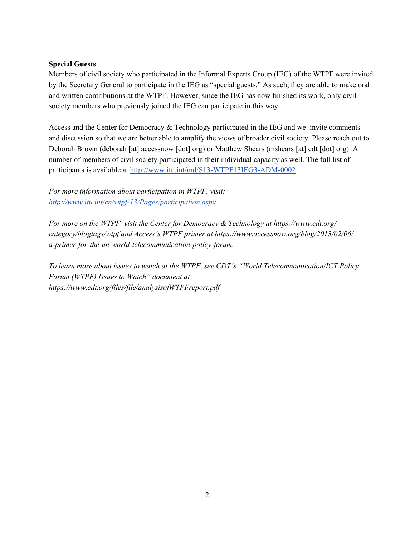# **Special Guests**

Members of civil society who participated in the Informal Experts Group (IEG) of the WTPF were invited by the Secretary General to participate in the IEG as "special guests." As such, they are able to make oral and written contributions at the WTPF. However, since the IEG has now finished its work, only civil society members who previously joined the IEG can participate in this way.

Access and the Center for Democracy & Technology participated in the IEG and we invite comments and discussion so that we are better able to amplify the views of broader civil society. Please reach out to Deborah Brown (deborah [at] accessnow [dot] org) or Matthew Shears (mshears [at] cdt [dot] org). A number of members of civil society participated in their individual capacity as well. The full list of participants is available at http://www.itu.int/md/S13-WTPF13IEG3-ADM-0002

*For more information about participation in WTPF, visit: [http://www.itu.int/en/wtpf13/Pages/participation.aspx](http://www.google.com/url?q=http%3A%2F%2Fwww.itu.int%2Fen%2Fwtpf-13%2FPages%2Fparticipation.aspx&sa=D&sntz=1&usg=AFQjCNFKTcJSmDmvle_srm-S6S2UzzhpUw)*

*For more on the WTPF, visit the Center for Democracy & Technology at https://www.cdt.org/ category/blogtags/wtpf and Access's WTPF primer at https://www.accessnow.org/blog/2013/02/06/ a-primer-for-the-un-world-telecommunication-policy-forum.* 

*To learn more about issues to watch at the WTPF, see CDT's "World Telecommunication/ICT Policy Forum (WTPF) Issues to Watch" document at https://www.cdt.org/files/file/analysisofWTPFreport.pdf*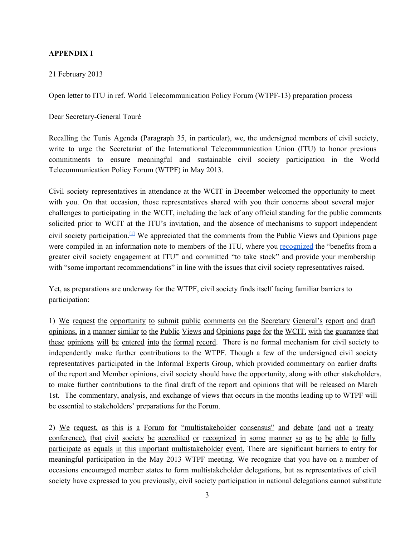## **APPENDIX I**

21 February 2013

Open letter to ITU in ref. World Telecommunication Policy Forum (WTPF-13) preparation process

Dear Secretary-General Touré

Recalling the Tunis Agenda (Paragraph 35, in particular), we, the undersigned members of civil society, write to urge the Secretariat of the International Telecommunication Union (ITU) to honor previous commitments to ensure meaningful and sustainable civil society participation in the World Telecommunication Policy Forum (WTPF) in May 2013.

Civil society representatives in attendance at the WCIT in December welcomed the opportunity to meet with you. On that occasion, those representatives shared with you their concerns about several major challenges to participating in the WCIT, including the lack of any official standing for the public comments solicited prior to WCIT at the ITU's invitation, and the absence of mechanisms to support independent civil society participation.<sup>[\[1\]](https://docs.google.com/a/accessnow.org/document/d/1_M7hxSUFoeTuFM9yNbRH0Jb94ujVR9P23884R27id_Y/pub#ftnt1)</sup> We appreciated that the comments from the Public Views and Opinions page were compiled in an information note to members of the ITU, where you [recognized](http://www.google.com/url?q=http%3A%2F%2Ffiles.wcitleaks.org%2Fpublic%2FS12-WCIT12-INF-0005!!MSW-E.pdf&sa=D&sntz=1&usg=AFQjCNFDzfsD5mGwRMCXyKF6A-CX4hLRwg) the "benefits from a greater civil society engagement at ITU" and committed "to take stock" and provide your membership with "some important recommendations" in line with the issues that civil society representatives raised.

Yet, as preparations are underway for the WTPF, civil society finds itself facing familiar barriers to participation:

1) We request the opportunity to submit public comments on the Secretary General's report and draft opinions, in a manner similar to the Public Views and Opinions page for the WCIT, with the guarantee that these opinions will be entered into the formal record. There is no formal mechanism for civil society to independently make further contributions to the WTPF. Though a few of the undersigned civil society representatives participated in the Informal Experts Group, which provided commentary on earlier drafts of the report and Member opinions, civil society should have the opportunity, along with other stakeholders, to make further contributions to the final draft of the report and opinions that will be released on March 1st. The commentary, analysis, and exchange of views that occurs in the months leading up to WTPF will be essential to stakeholders' preparations for the Forum.

2) We request, as this is a Forum for "multistakeholder consensus" and debate (and not a treaty conference), that civil society be accredited or recognized in some manner so as to be able to fully participate as equals in this important multistakeholder event. There are significant barriers to entry for meaningful participation in the May 2013 WTPF meeting. We recognize that you have on a number of occasions encouraged member states to form multistakeholder delegations, but as representatives of civil society have expressed to you previously, civil society participation in national delegations cannot substitute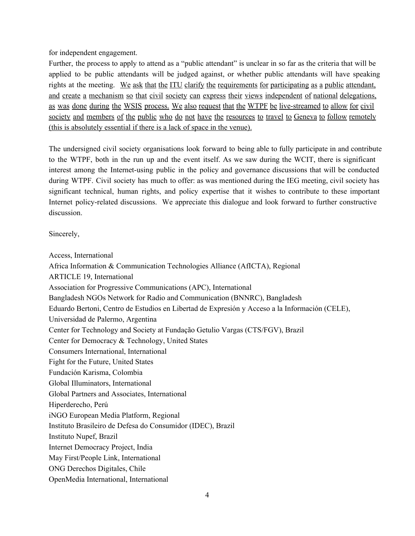for independent engagement.

Further, the process to apply to attend as a "public attendant" is unclear in so far as the criteria that will be applied to be public attendants will be judged against, or whether public attendants will have speaking rights at the meeting. We ask that the ITU clarify the requirements for participating as a public attendant, and create a mechanism so that civil society can express their views independent of national delegations, as was done during the WSIS process. We also request that the WTPF be live-streamed to allow for civil society and members of the public who do not have the resources to travel to Geneva to follow remotely (this is absolutely essential if there is a lack of space in the venue).

The undersigned civil society organisations look forward to being able to fully participate in and contribute to the WTPF, both in the run up and the event itself. As we saw during the WCIT, there is significant interest among the Internet-using public in the policy and governance discussions that will be conducted during WTPF. Civil society has much to offer: as was mentioned during the IEG meeting, civil society has significant technical, human rights, and policy expertise that it wishes to contribute to these important Internet policy-related discussions. We appreciate this dialogue and look forward to further constructive discussion.

Sincerely,

Access, International Africa Information & Communication Technologies Alliance (AfICTA), Regional ARTICLE 19, International Association for Progressive Communications (APC), International Bangladesh NGOs Network for Radio and Communication (BNNRC), Bangladesh Eduardo Bertoni, Centro de Estudios en Libertad de Expresión y Acceso a la Información (CELE), Universidad de Palermo, Argentina Center for Technology and Society at Fundação Getulio Vargas (CTS/FGV), Brazil Center for Democracy & Technology, United States Consumers International, International Fight for the Future, United States Fundación Karisma, Colombia Global Illuminators, International Global Partners and Associates, International Hiperderecho, Perú iNGO European Media Platform, Regional Instituto Brasileiro de Defesa do Consumidor (IDEC), Brazil Instituto Nupef, Brazil Internet Democracy Project, India May First/People Link, International ONG Derechos Digitales, Chile OpenMedia International, International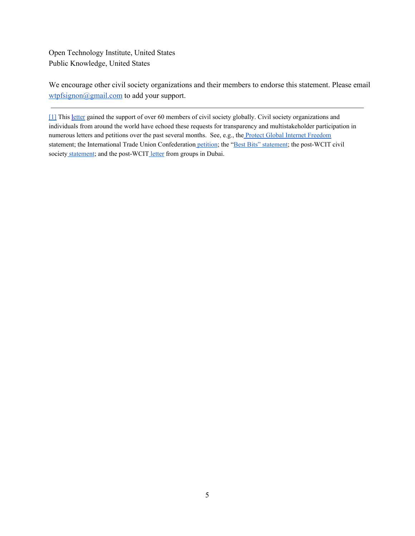Open Technology Institute, United States Public Knowledge, United States

We encourage other civil society organizations and their members to endorse this statement. Please email wtpfsignon@gmail.com to add your support.

[\[1\]](https://docs.google.com/a/accessnow.org/document/d/1_M7hxSUFoeTuFM9yNbRH0Jb94ujVR9P23884R27id_Y/pub#ftnt_ref1) This [letter](https://docs.google.com/a/accessnow.org/document/pub?id=1LiM3FfKF8Fgih7Um7v2vK20J2AigneGrgJ93YTbqLSM) gained the support of over 60 members of civil society globally. Civil society organizations and individuals from around the world have echoed these requests for transparency and multistakeholder participation in numerous letters and petitions over the past several months. See, e.g., the Protect Global Internet [Freedom](http://www.google.com/url?q=http%3A%2F%2Fwww.protectinternetfreedom.net%2F&sa=D&sntz=1&usg=AFQjCNF0XLHWua1a9doVHKH1DuuL6uvZGA) statement; the International Trade Union Confederation [petition;](http://www.google.com/url?q=http%3A%2F%2Fwww.ituc-csi.org%2Fworkers-around-globe-call-on-itu.html%3Flang%3Den&sa=D&sntz=1&usg=AFQjCNEmUwkjZficFGea0L6Ey96Jr7wRPQ) the "Best Bits" [statement;](http://www.google.com/url?q=http%3A%2F%2Fbestbits.igf-online.net%2Fstatement%2F&sa=D&sntz=1&usg=AFQjCNHceAo10E1wNMVXevSyb_xqaMtqhg) the post-WCIT civil society [statement;](http://www.google.com/url?q=http%3A%2F%2Fglobal-partners.co.uk%2Fwp-content%2Fuploads%2FPost-WCIT-Statementnew-format.pdf&sa=D&sntz=1&usg=AFQjCNGNJSsSykjelSVtLvhIG-StPpDzmw) and the post-WCIT [letter](https://docs.google.com/a/accessnow.org/document/pub?id=196625lN-MAUa-03ay2QiZ812plDaEqL2fXu0OruVI0I#ftnt2) from groups in Dubai.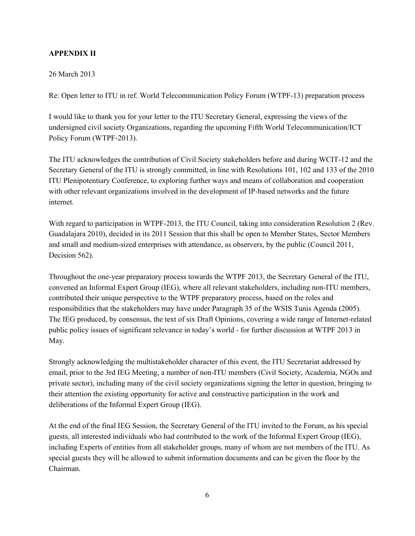# **APPENDIX II**

## 26 March 2013

Re: Open letter to ITU in ref. World Telecommunication Policy Forum (WTPF13) preparation process

I would like to thank you for your letter to the ITU Secretary General, expressing the views of the undersigned civil society Organizations, regarding the upcoming Fifth World Telecommunication/ICT Policy Forum (WTPF-2013).

The ITU acknowledges the contribution of Civil Society stakeholders before and during WCIT-12 and the Secretary General of the ITU is strongly committed, in line with Resolutions 101, 102 and 133 of the 2010 ITU Plenipotentiary Conference, to exploring further ways and means of collaboration and cooperation with other relevant organizations involved in the development of IP-based networks and the future internet.

With regard to participation in WTPF-2013, the ITU Council, taking into consideration Resolution 2 (Rev. Guadalajara 2010), decided in its 2011 Session that this shall be open to Member States, Sector Members and small and mediumsized enterprises with attendance, as observers, by the public (Council 2011, Decision 562).

Throughout the one-year preparatory process towards the WTPF 2013, the Secretary General of the ITU, convened an Informal Expert Group (IEG), where all relevant stakeholders, including non-ITU members, contributed their unique perspective to the WTPF preparatory process, based on the roles and responsibilities that the stakeholders may have under Paragraph 35 of the WSIS Tunis Agenda (2005). The IEG produced, by consensus, the text of six Draft Opinions, covering a wide range of Internet-related public policy issues of significant relevance in today's world - for further discussion at WTPF 2013 in May.

Strongly acknowledging the multistakeholder character of this event, the ITU Secretariat addressed by email, prior to the 3rd IEG Meeting, a number of non-ITU members (Civil Society, Academia, NGOs and private sector), including many of the civil society organizations signing the letter in question, bringing to their attention the existing opportunity for active and constructive participation in the work and deliberations of the Informal Expert Group (IEG).

At the end of the final IEG Session, the Secretary General of the ITU invited to the Forum, as his special guests, all interested individuals who had contributed to the work of the Informal Expert Group (IEG), including Experts of entities from all stakeholder groups, many of whom are not members of the ITU. As special guests they will be allowed to submit information documents and can be given the floor by the Chairman.